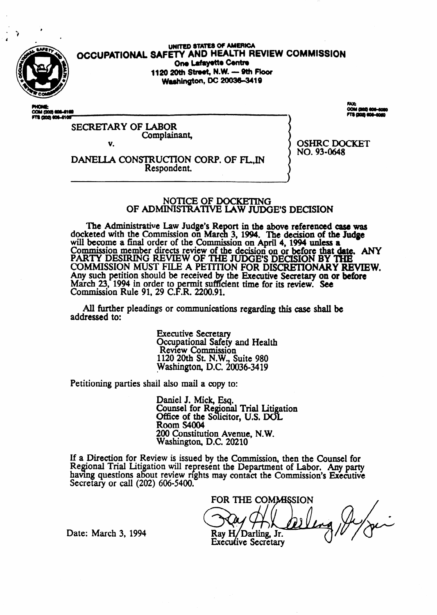

**OCCUPATIONAL SAFETY AND HEALTH REVIEW**  UNITED STATES OF AMERICA **One Lafayette Centre two 20th Sttwt, NM - 9th Fbor**  Washington, DC 20036-3419

COM (202) 808-618

21 AN

SECRETARY OF LABOR Complainant,

v.

**OSHRC** DOCKET NO. 93-0648

DANELLA CONSTRUCTION CORP. OF FL.IN Respondent.

#### NOTICE OF DOCKETING OF ADMINISTRATIVE LAW JUDGE'S DECISION

The Administrative Law Judge's Report in the above referenced case was docketed with the Commission on March 3, 1994. The decision of the Judge will become a final order of the Commission on April 4,1994 unless a Commission member directs review of the decision on or before that date. ANY PARTY DESIRING REVIEW OF THE JUDGE'S DECISION BY 'IHE COMMISSION MUST FILE A PETITION FOR DISCRETIONARY REVIEW. Any such petition should be received by the Executive Secretary on or before March 23, 1994 in order to permit sufficient time for its review. See Commission Rule 91, 29 C.F.R. 2200.91.

All further pleadings or communications regarding this case shall be addressed to:

> **Executive Secretary**  Occupational Safety and Health Review Commission 1120 20th St. N.W., Suite 980 Washington, D.C. 20036-3419

Petitioning parties shail also mail a copy to:

Daniel J. Mick, Esq. Counsel for Regional Trial Litigation Office of the Solicitor, U.S. DOL Room S4004 200 Constitution Avenue, N.W. Washington, D.C. 20210

If a Direction for Review is issued by the Commission, then the Counsel for Regional Trial Litigation will represent the Department of Labor. Any party havmg questions about review nghts may contact the Commission's Executive Secretary or call (202) 606-5400.

FOR THE COMMISSION Ray H/Darling, Jr.

Date: March 3, 1994

**Executive Secretary**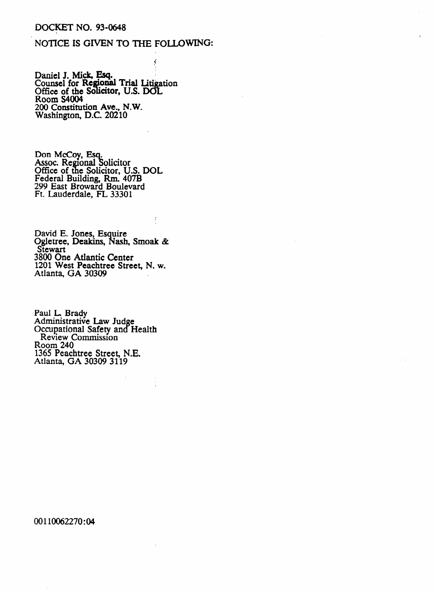### **DOCKET NO. 93-0648**

### NOTICE IS GIVEN TO THE FOLLOWING:

Ý

ł,

Daniel J. Mick, Esq.<br>Counsel for Regional Trial Litigation<br>Office of the Solicitor, U.S. DOL<br>Room S4004 200 Constitution Ave., N.W.<br>Washington, D.C. 20210

Don McCoy, Esq.<br>Assoc. Regional Solicitor<br>Office of the Solicitor, U.S. DOL<br>Federal Building, Rm. 407B<br>299 East Broward Boulevard<br>Ft. Lauderdale, FL 33301

David E. Jones, Esquire<br>Ogletree, Deakins, Nash, Smoak &<br>Stewart 3800 One Atlantic Center 1201 West Peachtree Street, N. w. Atlanta, GA 30309

Paul L. Brady Administrative Law Judge Occupational Safety and Health Review Commission Room 240 1365 Peachtree Street, N.E.<br>Atlanta, GA 30309 3119

00110062270:04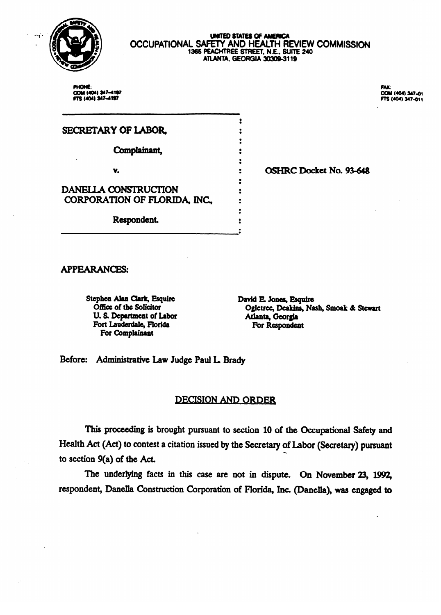

# UNITED STATES OF AMERICA<br>OCCUPATIONAL SAFETY AND HEALTH REVIEW COMMISSION 1365 PEACHTREE STREET, N.E., SUITE 240<br>ATLANTA, GEORGIA 30309-3119

 $\bullet$ 

 $\bullet$  $\ddot{\bullet}$ 

 $\ddot{\phantom{a}}$  $\ddot{\bullet}$ 

 $\ddot{\bullet}$ 

 $\ddot{\bullet}$ 

 $\ddot{\cdot}$  $\ddot{\cdot}$ 

 $\bullet$ 

PHONE: COM (404) 347-4197 FTS (404) 347-4197

FAX COM (404) 347-01<br>FTS (404) 347-011

# SECRETARY OF LABOR,

Complainant,

V.

 $\ddot{\phantom{a}}$ 

DANELLA CONSTRUCTION CORPORATION OF FLORIDA, INC.

Respondent.

# **APPEARANCES:**

Stephen Alan Clark, Esquire **Office of the Solicitor** U. S. Department of Labor Fort Lauderdale, Florida For Complainant

David E. Jones, Esquire Ogletree, Deakins, Nash, Smoak & Stewart Atlanta, Georgia For Respondent

OSHRC Docket No. 93-648

Before: Administrative Law Judge Paul L. Brady

## **DECISION AND ORDER**

This proceeding is brought pursuant to section 10 of the Occupational Safety and Health Act (Act) to contest a citation issued by the Secretary of Labor (Secretary) pursuant to section  $9(a)$  of the Act.

The underlying facts in this case are not in dispute. On November 23, 1992, respondent, Danella Construction Corporation of Florida, Inc. (Danella), was engaged to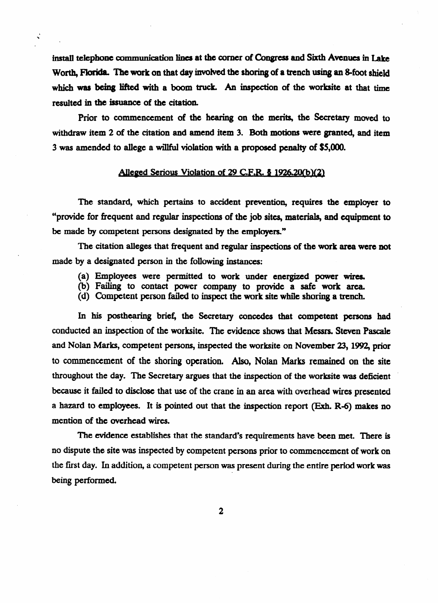install telephone communication lines at the corner of Congress and Sixth Avenues in Lake Worth, Florida. The work on that day involved the shoring of a trench using an 8-foot shield which was being lifted with a boom truck. An inspection of the worksite at that time resulted in the issuance of the citation.

Prior to commencement of the hearing on the merits, the Secretary moved to withdraw item 2 of the citation and amend item 3. Both motions were granted, and item 3 was amended to allege a willful violation with a **proposed penalty** of \$S,ooO.

#### Alleged Serious Violation of 29 C.F.R.  $\frac{1}{2}$  1926.20(b)(2)

The standard, which pertains to accident prevention, requires the employer to "provide for frequent and regular **inspections of the job sites, materials, and equipment to**  be made by competent persons designated by the **employers."** 

The citation alleges that frequent and regular inspections of the work area were not made by a designated person in the following instances:

- 
- (a) Employees were permitted to work under energized power wires.<br>(b) Failing to contact power company to provide a safe work area.
- (b) **Failing** to contact power company to provide a safe work area. (d) Competent person failed to inspect the work site while shoring a trench.

In his posthearing brief, the Secretary concedes that competent persons had conducted an inspection of the worksite. The evidence shows that Messrs. Steven Pascale conducted an inspection of the worksite. The evidence shows that Messrs. Steven Pascale  $\alpha$  , and  $\beta$  and  $\beta$  is equal matter the works on November 23,1992, prior to commencement of the shoring operation. Also, Nolan Marks remained on the site throughout the day. The Secretary argues that the inspection of the worksite was deficient because it failed to disclose that use of the crane in an area with overhead wires presented a hazard to employees. It is pointed out that the inspection report (Exh. R-6) makes no mention of the overhead wires.

The evidence establishes that the standard's requirements have been met. There is no dispute the site was inspected by competent persons prior to commencement of work on the first day. In addition, a competent person was present during the entire period work was  $\frac{1}{2}$  the first day. In addition, a competent person was present during the entire period was period was period was performed was performed was performed was performed was performed was performed was performed was per

 $\overline{2}$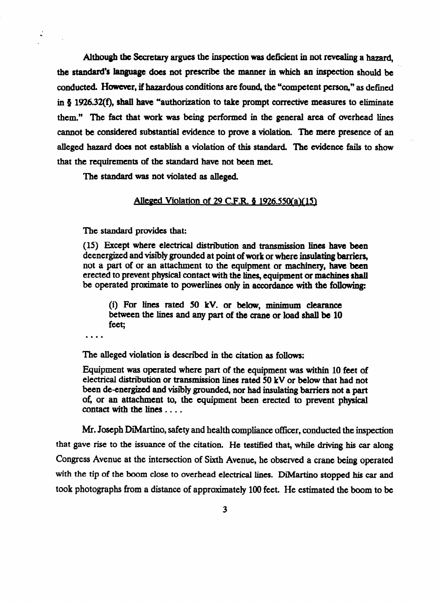Although the secretary argues the inspection was deficient in not revealing a hazard, the standard's language does not prescribe the manner in which an inspection should be conducted. However, if hazardous conditions are found, the "competent person," as defined in  $\frac{1}{2}$  1926.32(f), shall have "authorization to take prompt corrective measures to eliminate them." The fact that work was being performed in the general area of overhead lines cannot be considered substantial evidence to prove a violation. The mere presence of an alleged hazard does not establish a violation of this standard. The evidence fails to show that the requirements of the standard have not been met.

The standard was not violated as alleged.

#### Alleged Violation of 29 C.F.R.  $\frac{1}{2}$  1926.550(a)(15)

The standard provides that:<br>(15) Except where electrical distribution and transmission lines have been deenergized and visibly grounded at point of work or where insulating barriers, not a part of or an attachment to the equipment or machinery, have been erected to prevent physical contact with the lines, equipment or machines shall erected to prevent physical contact with the lines, equipment or machines shall be operated proximate to powerlines only in accordance with the fobwing

( $\frac{1}{2}$ ) For lines rated 50 kV. or below, minimum clearance between the lines and any part of the crane or load shall be 10 feet;

The alleged violation is described in the citation as follows:<br>Equipment was operated where part of the equipment was within 10 feet of electrical distribution or transmission lines rated 50 kV or below that had not been de-energized and visibly grounded, nor had insulating barriers not a part of, or an attachment to, the equipment been erected to prevent physical contact with the lines  $\dots$ .

Mr. Joseph DiMartino, safety and health compliance officer, conducted the inspection that gave rise to the issuance of the citation. He testified that, while driving his car along Congress Avenue at the intersection of Sixth Avenue, he observed a crane being operated with the tip of the boom close to overhead electrical lines. DiMartino stopped his car and took photographs from a distance of approximately 100 feet. He estimated the boom to be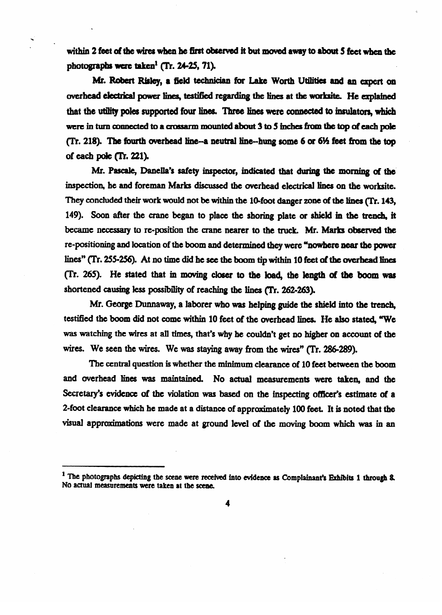within 2 feet of the wires when he first observed it but moved away to about 5 feet when the photographs were taken<sup>1</sup> (Tr. 24-25, 71).

**.** 

Mr. Robert Risley, a field technician for Lake Worth Utilities and an expert on overhead electrical power lines, testified regarding the lines at the worksite. He explained that the utility poles supported four lines. Three lines were connected to insulators, which were in turn connected to a crossarm mounted about 3 to 5 inches from the top of each pole (Tr. 218). The fourth overhead line--a neutral line--hung some 6 or 6½ feet from the top of each pole (Tr. 221).

Mr. Pascale, Danella's safety inspector, indicated that during the morning of the inspection, he and foreman Marks discussed the overhead electrical lines on the worksite. They concluded their work would not be within the 10-foot danger zone of the lines (Tr. 143, 149). Soon after the crane began to place the shoring plate or shield in the trench, it became necessary to re-position the crane nearer to the truck. Mr. Marks observed the re-positioning and location of the boom and determined they were "nowhere near the power lines" (Tr. 255-256). At no time did he see the boom tip within 10 feet of the overhead lines (Tr. 265). He stated that in moving closer to the load, the length of the boom was shortened causing less possibility of reaching the lines (Tr. 262-263).

Mr. George Dunnaway, a laborer who was helping guide the shield into the trench, testified the boom did not come within 10 feet of the overhead lines. He also stated, "We  $t_{\text{max}}$  field the boom did not come within 10 feet of the overlead lines. He also stated, TUE  $w = w \cdot \frac{w}{\sqrt{1 + \left(\frac{w}{\sqrt{1 + \left(\frac{w}{\sqrt{1 + \left(\frac{w}{\sqrt{1 + \left(\frac{w}{\sqrt{1 + \left(\frac{w}{\sqrt{1 + \left(\frac{w}{\sqrt{1 + \left(\frac{w}{\sqrt{1 + \left(\frac{w}{\sqrt{1 + \left(\frac{w}{\sqrt{1 + \left(\frac{w}{\sqrt{1 + \left(\frac{w}{\sqrt{1 + \left(\frac{w}{\sqrt{1 + \left(\frac{w}{\sqrt{1 + \left(\frac{w}{\sqrt{1 + \left(\frac{w}{\sqrt{1 + \left(\frac{w}{\sqrt{1 + \left(\frac{w}{\sqrt{1 + \$ wires. We seen the wires. We was staying away from the wires" (Tr. 286-289).<br>The central question is whether the minimum clearance of 10 feet between the boom

and overhead lines was maintained. No actual measurements were taken, and the Secretary's evidence of the violation was based on the inspecting officer's estimate of a 2-foot clearance which he made at a distance of approximately 100 feet. It is noted that the visual approximations were made at ground level of the moving boom which was in an visual approximations were made at ground level of the moving boom **which wzu in an** 

<sup>&</sup>lt;sup>1</sup> The photographs depicting the scene were received into evidence as Complainant's Exhibits 1 through 8. No actual measurements were taken at the scene.